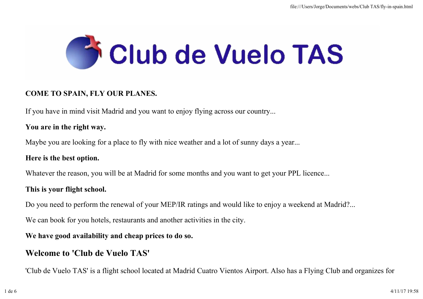

### COME TO SPAIN, FLY OUR PLANES.

If you have in mind visit Madrid and you want to enjoy flying across our country...

#### You are in the right way.

Maybe you are looking for a place to fly with nice weather and a lot of sunny days a year...

#### Here is the best option.

Whatever the reason, you will be at Madrid for some months and you want to get your PPL licence...

### This is your flight school.

Do you need to perform the renewal of your MEP/IR ratings and would like to enjoy a weekend at Madrid?...

We can book for you hotels, restaurants and another activities in the city.

### We have good availability and cheap prices to do so.

## Welcome to 'Club de Vuelo TAS'

'Club de Vuelo TAS' is a flight school located at Madrid Cuatro Vientos Airport. Also has a Flying Club and organizes for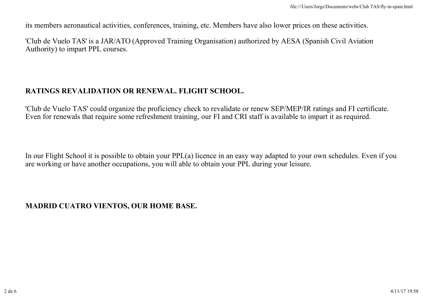its members aeronautical activities, conferences, training, etc. Members have also lower prices on these activities.

'Club de Vuelo TAS' is a JAR/ATO (Approved Training Organisation) authorized by AESA (Spanish Civil Aviation Authority) to impart PPL courses.

### RATINGS REVALIDATION OR RENEWAL. FLIGHT SCHOOL.

'Club de Vuelo TAS' could organize the proficiency check to revalidate or renew SEP/MEP/IR ratings and FI certificate. Even for renewals that require some refreshment training, our FI and CRI staff is available to impart it as required.

In our Flight School it is possible to obtain your PPL(a) licence in an easy way adapted to your own schedules. Even if you are working or have another occupations, you will able to obtain your PPL during your leisure.

## MADRID CUATRO VIENTOS, OUR HOME BASE.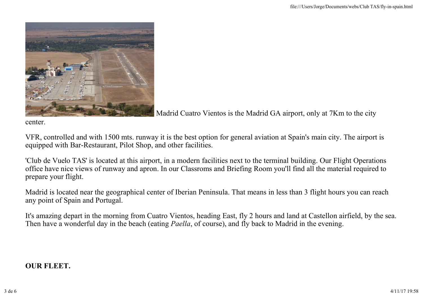

Madrid Cuatro Vientos is the Madrid GA airport, only at 7Km to the city

center.

VFR, controlled and with 1500 mts. runway it is the best option for general aviation at Spain's main city. The airport is equipped with Bar-Restaurant, Pilot Shop, and other facilities.

'Club de Vuelo TAS' is located at this airport, in a modern facilities next to the terminal building. Our Flight Operations office have nice views of runway and apron. In our Classroms and Briefing Room you'll find all the material required to prepare your flight.

Madrid is located near the geographical center of Iberian Peninsula. That means in less than 3 flight hours you can reach any point of Spain and Portugal.

It's amazing depart in the morning from Cuatro Vientos, heading East, fly 2 hours and land at Castellon airfield, by the sea. Then have a wonderful day in the beach (eating *Paella*, of course), and fly back to Madrid in the evening.

### OUR FLEET.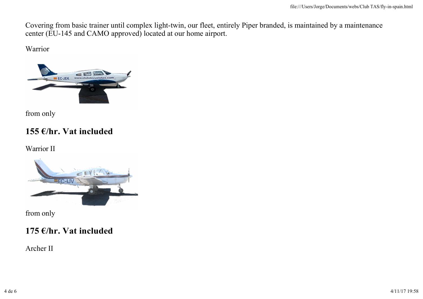Covering from basic trainer until complex light-twin, our fleet, entirely Piper branded, is maintained by a maintenance center (EU-145 and CAMO approved) located at our home airport.

Warrior



from only

# 155 €/hr. Vat included

Warrior II



from only

# 175 €/hr. Vat included

Archer II